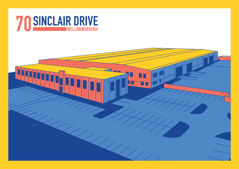

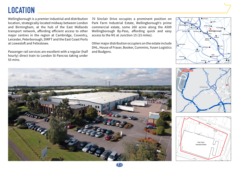### **LOCATION**

Wellingborough is a premier industrial and distribution location, strategically located midway between London and Birmingham, at the hub of the East Midlands transport network, affording efficient access to other major centres in the region at Cambridge, Coventry, Leicester, Peterborough, DIRFT and the East Coast Ports at Lowestoft and Felixstowe.

Passenger rail services are excellent with a regular (half hourly) direct train to London St Pancras taking under 55 mins.

70 Sinclair Drive occupies a prominent position on Park Farm Industrial Estate, Wellingborough's prime commercial estate, some 260 acres along the A509 Wellingborough By-Pass, affording quick and easy access to the M1 at Junction 15 (15 miles).

Other major distribution occupiers on the estate include DHL, House of Fraser, Booker, Cummins, Yusen Logistics and Budgens.









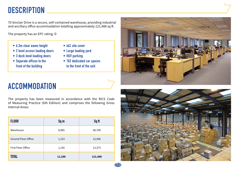### **DESCRIPTION**

70 Sinclair Drive is a secure, self-contained warehouse, providing industrial and ancillary office accommodation totalling approximately 121,488 sq ft.

The property has an EPC rating: D

- **• 6.3m clear eaves height**
- **• 2 level access loading doors**
- **• 3 dock level loading doors**
- **• Separate offices to the front of the building**
- **• 46% site cover**
- **• Large loading yard**
- **• HGV parking**
- **• 102 dedicated car spaces to the front of the unit**



# **ACCOMMODATION**

The property has been measured in accordance with the RICS Code of Measuring Practice (6th Edition) and comprises the following Gross Internal Areas:

| <b>FLOOR</b>               | Sq m   | Sq ft   |
|----------------------------|--------|---------|
| Warehouse                  | 8,985  | 96,709  |
| <b>Ground Floor Office</b> | 1,153  | 12,406  |
| First Floor Office         | 1,150  | 12,373  |
| <b>TOTAL</b>               | 11,288 | 121,488 |